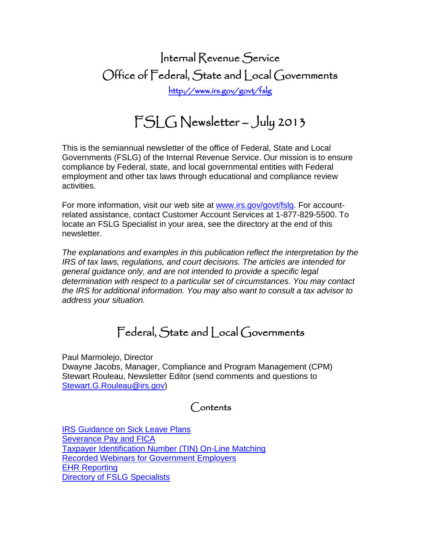# Internal Revenue Service Office of Federal, State and Local Governments <http://www.irs.gov/govt/fslg>

# FSLG Newsletter – July 2013

This is the semiannual newsletter of the office of Federal, State and Local Governments (FSLG) of the Internal Revenue Service. Our mission is to ensure compliance by Federal, state, and local governmental entities with Federal employment and other tax laws through educational and compliance review activities.

For more information, visit our web site at [www.irs.gov/govt/fslg.](http://www.irs.gov/govt/fslg) For accountrelated assistance, contact Customer Account Services at 1-877-829-5500. To locate an FSLG Specialist in your area, see the directory at the end of this newsletter.

*The explanations and examples in this publication reflect the interpretation by the IRS of tax laws, regulations, and court decisions. The articles are intended for general guidance only, and are not intended to provide a specific legal determination with respect to a particular set of circumstances. You may contact the IRS for additional information. You may also want to consult a tax advisor to address your situation.*

## Federal, State and Local Governments

Paul Marmolejo, Director Dwayne Jacobs, Manager, Compliance and Program Management (CPM) Stewart Rouleau, Newsletter Editor (send comments and questions to [Stewart.G.Rouleau@irs.gov\)](mailto:Stewart.G.Rouleau@irs.gov)

## Contents

[IRS Guidance on Sick Leave Plans](#page-1-0) [Severance Pay and FICA](#page-3-0) [Taxpayer Identification Number \(TIN\) On-Line Matching](#page-4-0) [Recorded Webinars for Government Employers](#page-5-0) [EHR Reporting](#page-6-0) **[Directory of FSLG Specialists](#page-8-0)**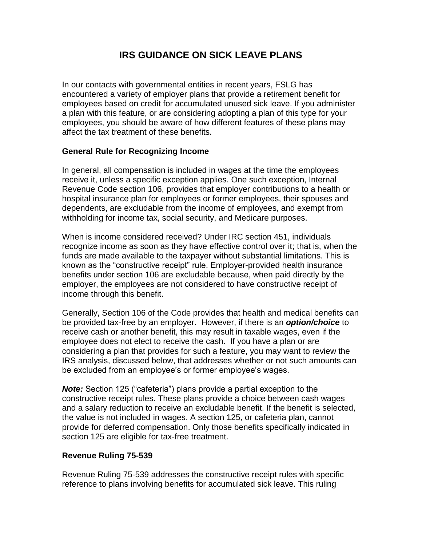### **IRS GUIDANCE ON SICK LEAVE PLANS**

<span id="page-1-0"></span>In our contacts with governmental entities in recent years, FSLG has encountered a variety of employer plans that provide a retirement benefit for employees based on credit for accumulated unused sick leave. If you administer a plan with this feature, or are considering adopting a plan of this type for your employees, you should be aware of how different features of these plans may affect the tax treatment of these benefits.

#### **General Rule for Recognizing Income**

In general, all compensation is included in wages at the time the employees receive it, unless a specific exception applies. One such exception, Internal Revenue Code section 106, provides that employer contributions to a health or hospital insurance plan for employees or former employees, their spouses and dependents, are excludable from the income of employees, and exempt from withholding for income tax, social security, and Medicare purposes.

When is income considered received? Under IRC section 451, individuals recognize income as soon as they have effective control over it; that is, when the funds are made available to the taxpayer without substantial limitations. This is known as the "constructive receipt" rule. Employer-provided health insurance benefits under section 106 are excludable because, when paid directly by the employer, the employees are not considered to have constructive receipt of income through this benefit.

Generally, Section 106 of the Code provides that health and medical benefits can be provided tax-free by an employer. However, if there is an *option/choice* to receive cash or another benefit, this may result in taxable wages, even if the employee does not elect to receive the cash. If you have a plan or are considering a plan that provides for such a feature, you may want to review the IRS analysis, discussed below, that addresses whether or not such amounts can be excluded from an employee's or former employee's wages.

*Note:* Section 125 ("cafeteria") plans provide a partial exception to the constructive receipt rules. These plans provide a choice between cash wages and a salary reduction to receive an excludable benefit. If the benefit is selected, the value is not included in wages. A section 125, or cafeteria plan, cannot provide for deferred compensation. Only those benefits specifically indicated in section 125 are eligible for tax-free treatment.

#### **Revenue Ruling 75-539**

Revenue Ruling 75-539 addresses the constructive receipt rules with specific reference to plans involving benefits for accumulated sick leave. This ruling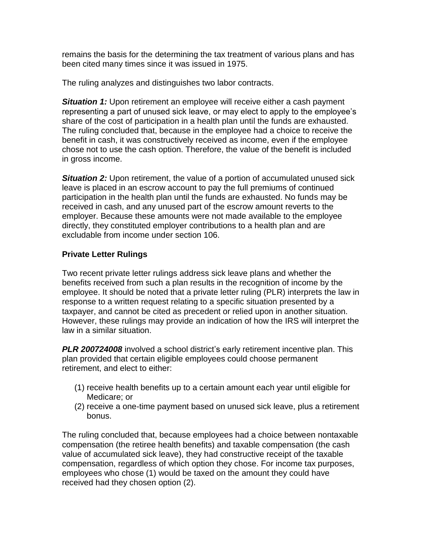remains the basis for the determining the tax treatment of various plans and has been cited many times since it was issued in 1975.

The ruling analyzes and distinguishes two labor contracts.

**Situation 1:** Upon retirement an employee will receive either a cash payment representing a part of unused sick leave, or may elect to apply to the employee's share of the cost of participation in a health plan until the funds are exhausted. The ruling concluded that, because in the employee had a choice to receive the benefit in cash, it was constructively received as income, even if the employee chose not to use the cash option. Therefore, the value of the benefit is included in gross income.

**Situation 2:** Upon retirement, the value of a portion of accumulated unused sick leave is placed in an escrow account to pay the full premiums of continued participation in the health plan until the funds are exhausted. No funds may be received in cash, and any unused part of the escrow amount reverts to the employer. Because these amounts were not made available to the employee directly, they constituted employer contributions to a health plan and are excludable from income under section 106.

#### **Private Letter Rulings**

Two recent private letter rulings address sick leave plans and whether the benefits received from such a plan results in the recognition of income by the employee. It should be noted that a private letter ruling (PLR) interprets the law in response to a written request relating to a specific situation presented by a taxpayer, and cannot be cited as precedent or relied upon in another situation. However, these rulings may provide an indication of how the IRS will interpret the law in a similar situation.

*PLR 200724008* involved a school district's early retirement incentive plan. This plan provided that certain eligible employees could choose permanent retirement, and elect to either:

- (1) receive health benefits up to a certain amount each year until eligible for Medicare; or
- (2) receive a one-time payment based on unused sick leave, plus a retirement bonus.

The ruling concluded that, because employees had a choice between nontaxable compensation (the retiree health benefits) and taxable compensation (the cash value of accumulated sick leave), they had constructive receipt of the taxable compensation, regardless of which option they chose. For income tax purposes, employees who chose (1) would be taxed on the amount they could have received had they chosen option (2).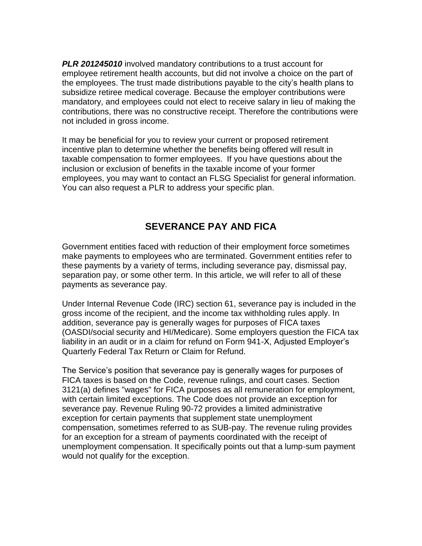*PLR 201245010* involved mandatory contributions to a trust account for employee retirement health accounts, but did not involve a choice on the part of the employees. The trust made distributions payable to the city's health plans to subsidize retiree medical coverage. Because the employer contributions were mandatory, and employees could not elect to receive salary in lieu of making the contributions, there was no constructive receipt. Therefore the contributions were not included in gross income.

It may be beneficial for you to review your current or proposed retirement incentive plan to determine whether the benefits being offered will result in taxable compensation to former employees. If you have questions about the inclusion or exclusion of benefits in the taxable income of your former employees, you may want to contact an FLSG Specialist for general information. You can also request a PLR to address your specific plan.

## **SEVERANCE PAY AND FICA**

<span id="page-3-0"></span>Government entities faced with reduction of their employment force sometimes make payments to employees who are terminated. Government entities refer to these payments by a variety of terms, including severance pay, dismissal pay, separation pay, or some other term. In this article, we will refer to all of these payments as severance pay.

Under Internal Revenue Code (IRC) section 61, severance pay is included in the gross income of the recipient, and the income tax withholding rules apply. In addition, severance pay is generally wages for purposes of FICA taxes (OASDI/social security and HI/Medicare). Some employers question the FICA tax liability in an audit or in a claim for refund on Form 941-X, Adjusted Employer's Quarterly Federal Tax Return or Claim for Refund.

The Service's position that severance pay is generally wages for purposes of FICA taxes is based on the Code, revenue rulings, and court cases. Section 3121(a) defines "wages" for FICA purposes as all remuneration for employment, with certain limited exceptions. The Code does not provide an exception for severance pay. Revenue Ruling 90-72 provides a limited administrative exception for certain payments that supplement state unemployment compensation, sometimes referred to as SUB-pay. The revenue ruling provides for an exception for a stream of payments coordinated with the receipt of unemployment compensation. It specifically points out that a lump-sum payment would not qualify for the exception.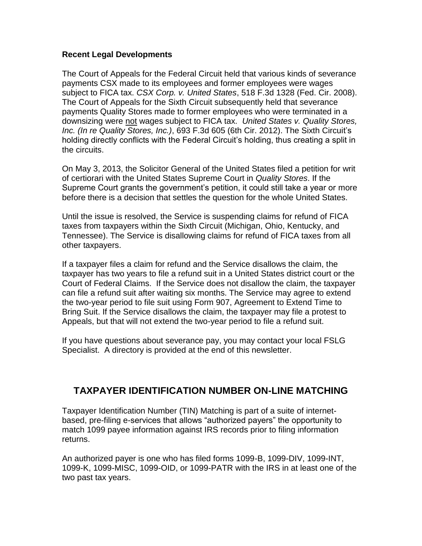#### **Recent Legal Developments**

The Court of Appeals for the Federal Circuit held that various kinds of severance payments CSX made to its employees and former employees were wages subject to FICA tax. *CSX Corp. v. United States*, 518 F.3d 1328 (Fed. Cir. 2008). The Court of Appeals for the Sixth Circuit subsequently held that severance payments Quality Stores made to former employees who were terminated in a downsizing were not wages subject to FICA tax. *United States v. Quality Stores, Inc. (In re Quality Stores, Inc.)*, 693 F.3d 605 (6th Cir. 2012). The Sixth Circuit's holding directly conflicts with the Federal Circuit's holding, thus creating a split in the circuits.

On May 3, 2013, the Solicitor General of the United States filed a petition for writ of certiorari with the United States Supreme Court in *Quality Stores*. If the Supreme Court grants the government's petition, it could still take a year or more before there is a decision that settles the question for the whole United States.

Until the issue is resolved, the Service is suspending claims for refund of FICA taxes from taxpayers within the Sixth Circuit (Michigan, Ohio, Kentucky, and Tennessee). The Service is disallowing claims for refund of FICA taxes from all other taxpayers.

If a taxpayer files a claim for refund and the Service disallows the claim, the taxpayer has two years to file a refund suit in a United States district court or the Court of Federal Claims. If the Service does not disallow the claim, the taxpayer can file a refund suit after waiting six months. The Service may agree to extend the two-year period to file suit using Form 907, Agreement to Extend Time to Bring Suit. If the Service disallows the claim, the taxpayer may file a protest to Appeals, but that will not extend the two-year period to file a refund suit.

If you have questions about severance pay, you may contact your local FSLG Specialist. A directory is provided at the end of this newsletter.

#### <span id="page-4-0"></span>**TAXPAYER IDENTIFICATION NUMBER ON-LINE MATCHING**

Taxpayer Identification Number (TIN) Matching is part of a suite of internetbased, pre-filing e-services that allows "authorized payers" the opportunity to match 1099 payee information against IRS records prior to filing information returns.

An authorized payer is one who has filed forms 1099-B, 1099-DIV, 1099-INT, 1099-K, 1099-MISC, 1099-OID, or 1099-PATR with the IRS in at least one of the two past tax years.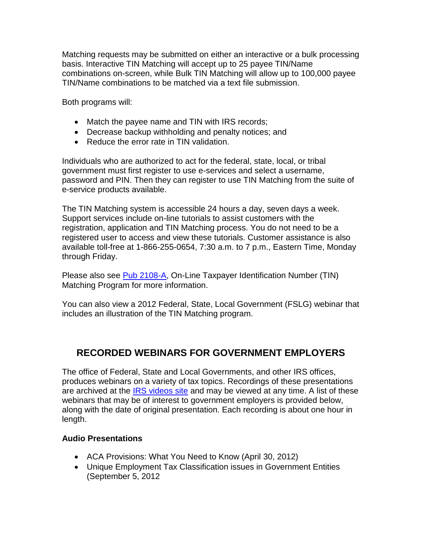Matching requests may be submitted on either an interactive or a bulk processing basis. Interactive TIN Matching will accept up to 25 payee TIN/Name combinations on-screen, while Bulk TIN Matching will allow up to 100,000 payee TIN/Name combinations to be matched via a text file submission.

Both programs will:

- Match the payee name and TIN with IRS records;
- Decrease backup withholding and penalty notices; and
- Reduce the error rate in TIN validation.

Individuals who are authorized to act for the federal, state, local, or tribal government must first register to use e-services and select a username, password and PIN. Then they can register to use TIN Matching from the suite of e-service products available.

The TIN Matching system is accessible 24 hours a day, seven days a week. Support services include on-line tutorials to assist customers with the registration, application and TIN Matching process. You do not need to be a registered user to access and view these tutorials. Customer assistance is also available toll-free at 1-866-255-0654, 7:30 a.m. to 7 p.m., Eastern Time, Monday through Friday.

Please also see [Pub 2108-A,](http://www.irs.gov/pub/irs-pdf/p2108a.pdf) On-Line Taxpayer Identification Number (TIN) Matching Program for more information.

You can also view a 2012 Federal, State, Local Government (FSLG) webinar that includes an illustration of the TIN Matching program.

## <span id="page-5-0"></span>**RECORDED WEBINARS FOR GOVERNMENT EMPLOYERS**

The office of Federal, State and Local Governments, and other IRS offices, produces webinars on a variety of tax topics. Recordings of these presentations are archived at the [IRS videos site](http://www.irsvideos.gov/) and may be viewed at any time. A list of these webinars that may be of interest to government employers is provided below, along with the date of original presentation. Each recording is about one hour in length.

#### **Audio Presentations**

- ACA Provisions: What You Need to Know (April 30, 2012)
- Unique Employment Tax Classification issues in Government Entities (September 5, 2012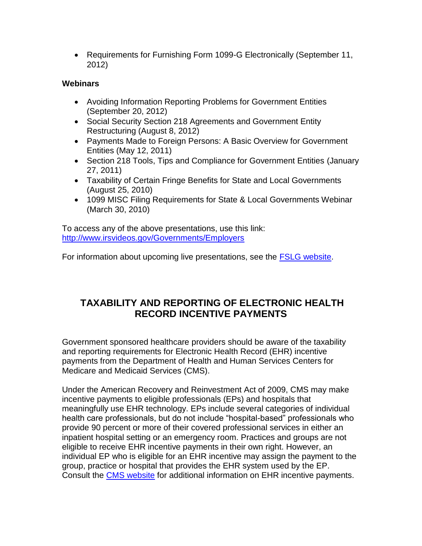• Requirements for Furnishing Form 1099-G Electronically (September 11, 2012)

#### **Webinars**

- Avoiding Information Reporting Problems for Government Entities (September 20, 2012)
- Social Security Section 218 Agreements and Government Entity Restructuring (August 8, 2012)
- Payments Made to Foreign Persons: A Basic Overview for Government Entities (May 12, 2011)
- Section 218 Tools, Tips and Compliance for Government Entities (January 27, 2011)
- Taxability of Certain Fringe Benefits for State and Local Governments (August 25, 2010)
- 1099 MISC Filing Requirements for State & Local Governments Webinar (March 30, 2010)

To access any of the above presentations, use this link: <http://www.irsvideos.gov/Governments/Employers>

For information about upcoming live presentations, see the **FSLG** website.

## <span id="page-6-0"></span>**TAXABILITY AND REPORTING OF ELECTRONIC HEALTH RECORD INCENTIVE PAYMENTS**

Government sponsored healthcare providers should be aware of the taxability and reporting requirements for Electronic Health Record (EHR) incentive payments from the Department of Health and Human Services Centers for Medicare and Medicaid Services (CMS).

Under the American Recovery and Reinvestment Act of 2009, CMS may make incentive payments to eligible professionals (EPs) and hospitals that meaningfully use EHR technology. EPs include several categories of individual health care professionals, but do not include "hospital-based" professionals who provide 90 percent or more of their covered professional services in either an inpatient hospital setting or an emergency room. Practices and groups are not eligible to receive EHR incentive payments in their own right. However, an individual EP who is eligible for an EHR incentive may assign the payment to the group, practice or hospital that provides the EHR system used by the EP. Consult the [CMS website](http://www.cms.gov/EHRIncentivePrograms) for additional information on EHR incentive payments.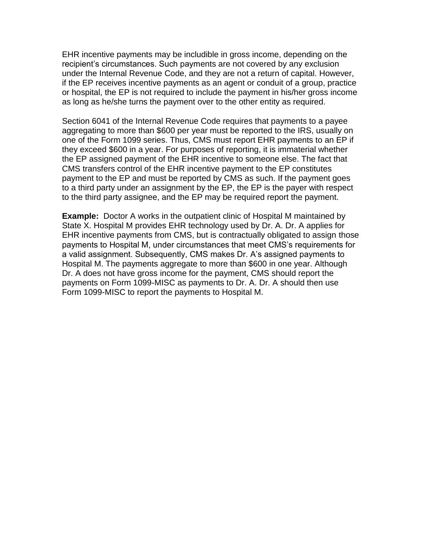EHR incentive payments may be includible in gross income, depending on the recipient's circumstances. Such payments are not covered by any exclusion under the Internal Revenue Code, and they are not a return of capital. However, if the EP receives incentive payments as an agent or conduit of a group, practice or hospital, the EP is not required to include the payment in his/her gross income as long as he/she turns the payment over to the other entity as required.

Section 6041 of the Internal Revenue Code requires that payments to a payee aggregating to more than \$600 per year must be reported to the IRS, usually on one of the Form 1099 series. Thus, CMS must report EHR payments to an EP if they exceed \$600 in a year. For purposes of reporting, it is immaterial whether the EP assigned payment of the EHR incentive to someone else. The fact that CMS transfers control of the EHR incentive payment to the EP constitutes payment to the EP and must be reported by CMS as such. If the payment goes to a third party under an assignment by the EP, the EP is the payer with respect to the third party assignee, and the EP may be required report the payment.

**Example:** Doctor A works in the outpatient clinic of Hospital M maintained by State X. Hospital M provides EHR technology used by Dr. A. Dr. A applies for EHR incentive payments from CMS, but is contractually obligated to assign those payments to Hospital M, under circumstances that meet CMS's requirements for a valid assignment. Subsequently, CMS makes Dr. A's assigned payments to Hospital M. The payments aggregate to more than \$600 in one year. Although Dr. A does not have gross income for the payment, CMS should report the payments on Form 1099-MISC as payments to Dr. A. Dr. A should then use Form 1099-MISC to report the payments to Hospital M.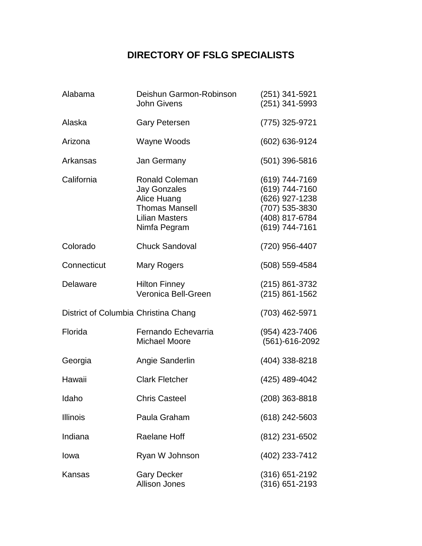## **DIRECTORY OF FSLG SPECIALISTS**

<span id="page-8-0"></span>

| Alabama                              | Deishun Garmon-Robinson<br><b>John Givens</b>                                                                                 | (251) 341-5921<br>(251) 341-5993                                                                         |
|--------------------------------------|-------------------------------------------------------------------------------------------------------------------------------|----------------------------------------------------------------------------------------------------------|
| Alaska                               | <b>Gary Petersen</b>                                                                                                          | (775) 325-9721                                                                                           |
| Arizona                              | Wayne Woods                                                                                                                   | (602) 636-9124                                                                                           |
| Arkansas                             | Jan Germany                                                                                                                   | (501) 396-5816                                                                                           |
| California                           | <b>Ronald Coleman</b><br><b>Jay Gonzales</b><br>Alice Huang<br><b>Thomas Mansell</b><br><b>Lilian Masters</b><br>Nimfa Pegram | (619) 744-7169<br>(619) 744-7160<br>(626) 927-1238<br>(707) 535-3830<br>(408) 817-6784<br>(619) 744-7161 |
| Colorado                             | <b>Chuck Sandoval</b>                                                                                                         | (720) 956-4407                                                                                           |
| Connecticut                          | <b>Mary Rogers</b>                                                                                                            | (508) 559-4584                                                                                           |
| Delaware                             | <b>Hilton Finney</b><br>Veronica Bell-Green                                                                                   | (215) 861-3732<br>$(215) 861 - 1562$                                                                     |
| District of Columbia Christina Chang |                                                                                                                               | (703) 462-5971                                                                                           |
| Florida                              | Fernando Echevarria<br><b>Michael Moore</b>                                                                                   | (954) 423-7406<br>(561)-616-2092                                                                         |
| Georgia                              | Angie Sanderlin                                                                                                               | (404) 338-8218                                                                                           |
| Hawaii                               | <b>Clark Fletcher</b>                                                                                                         | (425) 489-4042                                                                                           |
| Idaho                                | <b>Chris Casteel</b>                                                                                                          | (208) 363-8818                                                                                           |
| <b>Illinois</b>                      | Paula Graham                                                                                                                  | (618) 242-5603                                                                                           |
| Indiana                              | <b>Raelane Hoff</b>                                                                                                           | (812) 231-6502                                                                                           |
| Iowa                                 | Ryan W Johnson                                                                                                                | (402) 233-7412                                                                                           |
| Kansas                               | <b>Gary Decker</b><br><b>Allison Jones</b>                                                                                    | (316) 651-2192<br>(316) 651-2193                                                                         |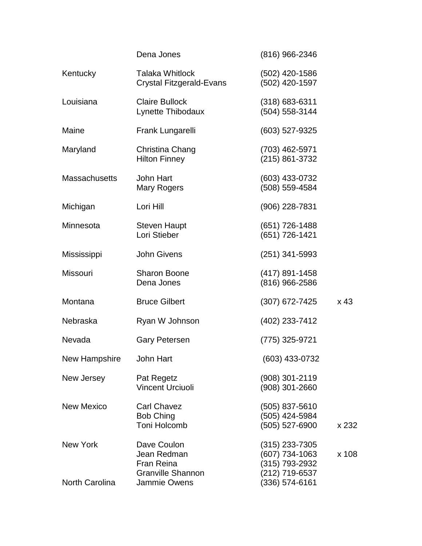| x <sub>43</sub> |
|-----------------|
|                 |
|                 |
|                 |
|                 |
| x 232           |
| x 108           |
|                 |